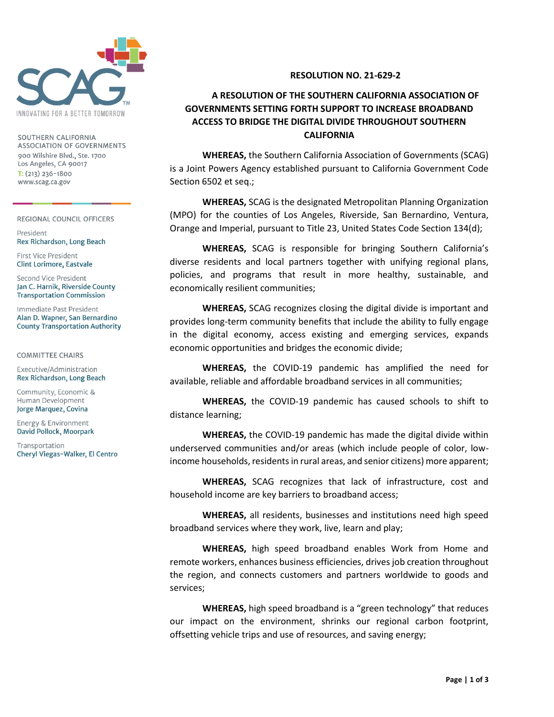

SOUTHERN CALIFORNIA ASSOCIATION OF GOVERNMENTS 900 Wilshire Blvd., Ste. 1700 Los Angeles, CA 90017  $T: (213) 236 - 1800$ www.scag.ca.gov

REGIONAL COUNCIL OFFICERS

President Rex Richardson, Long Beach

First Vice President Clint Lorimore, Eastvale

Second Vice President Jan C. Harnik, Riverside County **Transportation Commission** 

Immediate Past President Alan D. Wapner, San Bernardino **County Transportation Authority** 

## **COMMITTEE CHAIRS**

Executive/Administration Rex Richardson, Long Beach

Community, Economic & Human Development Jorge Marquez, Covina

Energy & Environment David Pollock, Moorpark

Transportation Cheryl Viegas-Walker, El Centro

## **RESOLUTION NO. 21-629-2**

## **A RESOLUTION OF THE SOUTHERN CALIFORNIA ASSOCIATION OF GOVERNMENTS SETTING FORTH SUPPORT TO INCREASE BROADBAND ACCESS TO BRIDGE THE DIGITAL DIVIDE THROUGHOUT SOUTHERN CALIFORNIA**

**WHEREAS,** the Southern California Association of Governments (SCAG) is a Joint Powers Agency established pursuant to California Government Code Section 6502 et seq.;

**WHEREAS,** SCAG is the designated Metropolitan Planning Organization (MPO) for the counties of Los Angeles, Riverside, San Bernardino, Ventura, Orange and Imperial, pursuant to Title 23, United States Code Section 134(d);

**WHEREAS,** SCAG is responsible for bringing Southern California's diverse residents and local partners together with unifying regional plans, policies, and programs that result in more healthy, sustainable, and economically resilient communities;

**WHEREAS,** SCAG recognizes closing the digital divide is important and provides long-term community benefits that include the ability to fully engage in the digital economy, access existing and emerging services, expands economic opportunities and bridges the economic divide;

**WHEREAS,** the COVID-19 pandemic has amplified the need for available, reliable and affordable broadband services in all communities;

**WHEREAS,** the COVID-19 pandemic has caused schools to shift to distance learning;

**WHEREAS,** the COVID-19 pandemic has made the digital divide within underserved communities and/or areas (which include people of color, lowincome households, residents in rural areas, and senior citizens) more apparent;

**WHEREAS,** SCAG recognizes that lack of infrastructure, cost and household income are key barriers to broadband access;

**WHEREAS,** all residents, businesses and institutions need high speed broadband services where they work, live, learn and play;

**WHEREAS,** high speed broadband enables Work from Home and remote workers, enhances business efficiencies, drives job creation throughout the region, and connects customers and partners worldwide to goods and services;

**WHEREAS,** high speed broadband is a "green technology" that reduces our impact on the environment, shrinks our regional carbon footprint, offsetting vehicle trips and use of resources, and saving energy;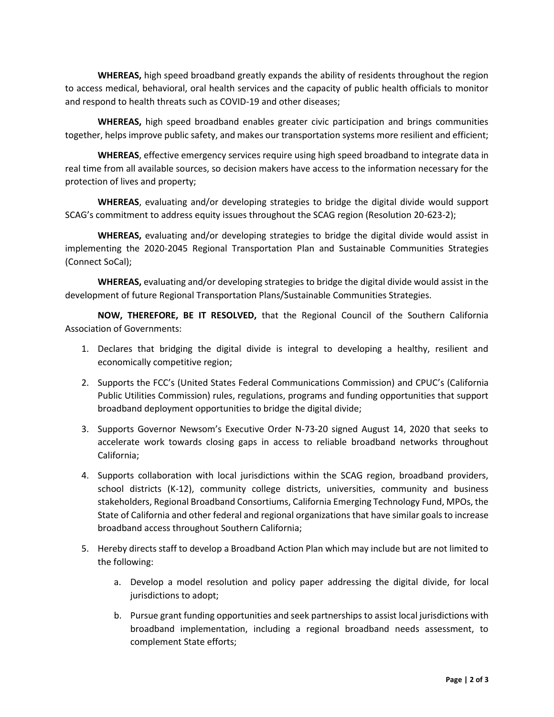**WHEREAS,** high speed broadband greatly expands the ability of residents throughout the region to access medical, behavioral, oral health services and the capacity of public health officials to monitor and respond to health threats such as COVID-19 and other diseases;

**WHEREAS,** high speed broadband enables greater civic participation and brings communities together, helps improve public safety, and makes our transportation systems more resilient and efficient;

**WHEREAS**, effective emergency services require using high speed broadband to integrate data in real time from all available sources, so decision makers have access to the information necessary for the protection of lives and property;

**WHEREAS**, evaluating and/or developing strategies to bridge the digital divide would support SCAG's commitment to address equity issues throughout the SCAG region (Resolution 20-623-2);

**WHEREAS,** evaluating and/or developing strategies to bridge the digital divide would assist in implementing the 2020-2045 Regional Transportation Plan and Sustainable Communities Strategies (Connect SoCal);

**WHEREAS,** evaluating and/or developing strategies to bridge the digital divide would assist in the development of future Regional Transportation Plans/Sustainable Communities Strategies.

**NOW, THEREFORE, BE IT RESOLVED,** that the Regional Council of the Southern California Association of Governments:

- 1. Declares that bridging the digital divide is integral to developing a healthy, resilient and economically competitive region;
- 2. Supports the FCC's (United States Federal Communications Commission) and CPUC's (California Public Utilities Commission) rules, regulations, programs and funding opportunities that support broadband deployment opportunities to bridge the digital divide;
- 3. Supports Governor Newsom's Executive Order N-73-20 signed August 14, 2020 that seeks to accelerate work towards closing gaps in access to reliable broadband networks throughout California;
- 4. Supports collaboration with local jurisdictions within the SCAG region, broadband providers, school districts (K-12), community college districts, universities, community and business stakeholders, Regional Broadband Consortiums, California Emerging Technology Fund, MPOs, the State of California and other federal and regional organizations that have similar goals to increase broadband access throughout Southern California;
- 5. Hereby directs staff to develop a Broadband Action Plan which may include but are not limited to the following:
	- a. Develop a model resolution and policy paper addressing the digital divide, for local jurisdictions to adopt;
	- b. Pursue grant funding opportunities and seek partnerships to assist local jurisdictions with broadband implementation, including a regional broadband needs assessment, to complement State efforts;